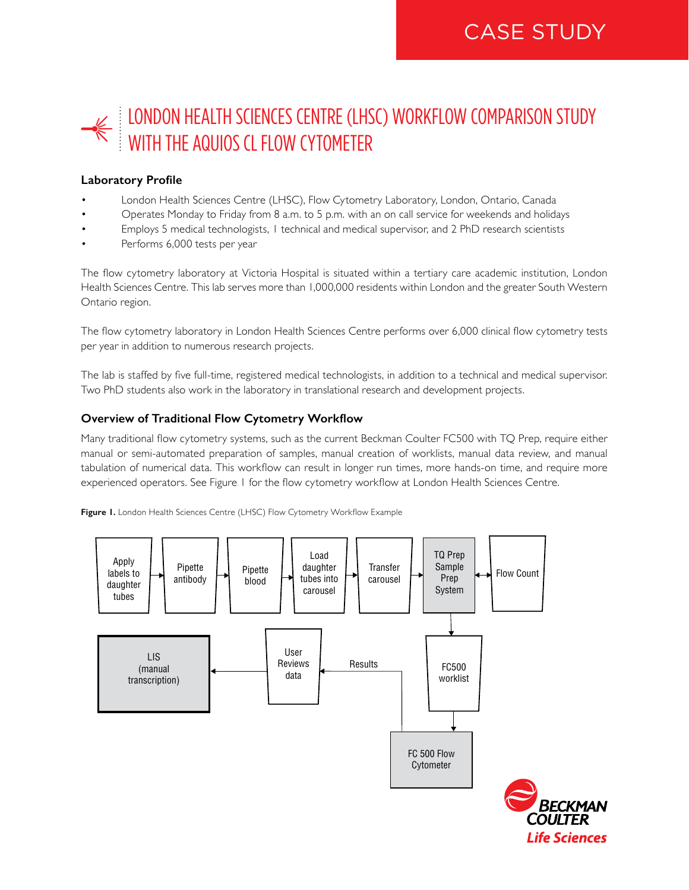# LONDON HEALTH SCIENCES CENTRE (LHSC) WORKFLOW COMPARISON STUDY WITH THE AQUIOS CL FLOW CYTOMETER

# **Laboratory Profile**

- London Health Sciences Centre (LHSC), Flow Cytometry Laboratory, London, Ontario, Canada
- Operates Monday to Friday from 8 a.m. to 5 p.m. with an on call service for weekends and holidays
- Employs 5 medical technologists, 1 technical and medical supervisor, and 2 PhD research scientists
- Performs 6,000 tests per year

The flow cytometry laboratory at Victoria Hospital is situated within a tertiary care academic institution, London Health Sciences Centre. This lab serves more than 1,000,000 residents within London and the greater South Western Ontario region.

The flow cytometry laboratory in London Health Sciences Centre performs over 6,000 clinical flow cytometry tests per year in addition to numerous research projects.

The lab is staffed by five full-time, registered medical technologists, in addition to a technical and medical supervisor. Two PhD students also work in the laboratory in translational research and development projects.

## **Overview of Traditional Flow Cytometry Workflow**

Many traditional flow cytometry systems, such as the current Beckman Coulter FC500 with TQ Prep, require either manual or semi-automated preparation of samples, manual creation of worklists, manual data review, and manual tabulation of numerical data. This workflow can result in longer run times, more hands-on time, and require more experienced operators. See Figure 1 for the flow cytometry workflow at London Health Sciences Centre.

**Figure 1.** London Health Sciences Centre (LHSC) Flow Cytometry Workflow Example

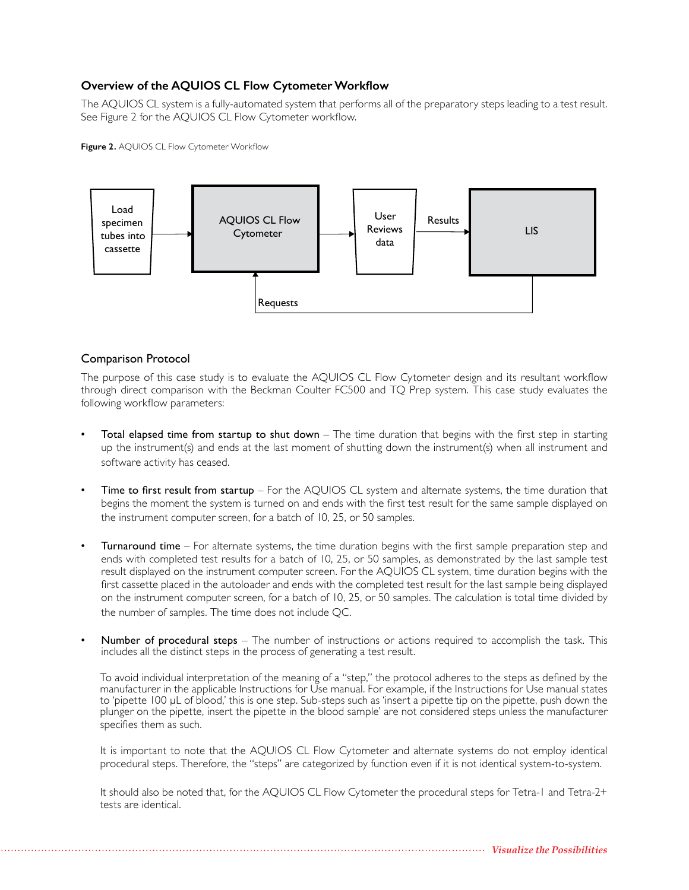# **Overview of the AQUIOS CL Flow Cytometer Workflow**

The AQUIOS CL system is a fully-automated system that performs all of the preparatory steps leading to a test result. See Figure 2 for the AQUIOS CL Flow Cytometer workflow.

**Figure 2.** AQUIOS CL Flow Cytometer Workflow



## Comparison Protocol

The purpose of this case study is to evaluate the AQUIOS CL Flow Cytometer design and its resultant workflow through direct comparison with the Beckman Coulter FC500 and TQ Prep system. This case study evaluates the following workflow parameters:

- Total elapsed time from startup to shut down  $-$  The time duration that begins with the first step in starting up the instrument(s) and ends at the last moment of shutting down the instrument(s) when all instrument and software activity has ceased.
- Time to first result from startup For the AQUIOS CL system and alternate systems, the time duration that begins the moment the system is turned on and ends with the first test result for the same sample displayed on the instrument computer screen, for a batch of 10, 25, or 50 samples.
- **Turnaround time** For alternate systems, the time duration begins with the first sample preparation step and ends with completed test results for a batch of 10, 25, or 50 samples, as demonstrated by the last sample test result displayed on the instrument computer screen. For the AQUIOS CL system, time duration begins with the first cassette placed in the autoloader and ends with the completed test result for the last sample being displayed on the instrument computer screen, for a batch of 10, 25, or 50 samples. The calculation is total time divided by the number of samples. The time does not include QC.
- Number of procedural steps The number of instructions or actions required to accomplish the task. This includes all the distinct steps in the process of generating a test result.

To avoid individual interpretation of the meaning of a "step," the protocol adheres to the steps as defined by the manufacturer in the applicable Instructions for Use manual. For example, if the Instructions for Use manual states to 'pipette 100 μL of blood,' this is one step. Sub-steps such as 'insert a pipette tip on the pipette, push down the plunger on the pipette, insert the pipette in the blood sample' are not considered steps unless the manufacturer specifies them as such.

It is important to note that the AQUIOS CL Flow Cytometer and alternate systems do not employ identical procedural steps. Therefore, the "steps" are categorized by function even if it is not identical system-to-system.

It should also be noted that, for the AQUIOS CL Flow Cytometer the procedural steps for Tetra-1 and Tetra-2+ tests are identical.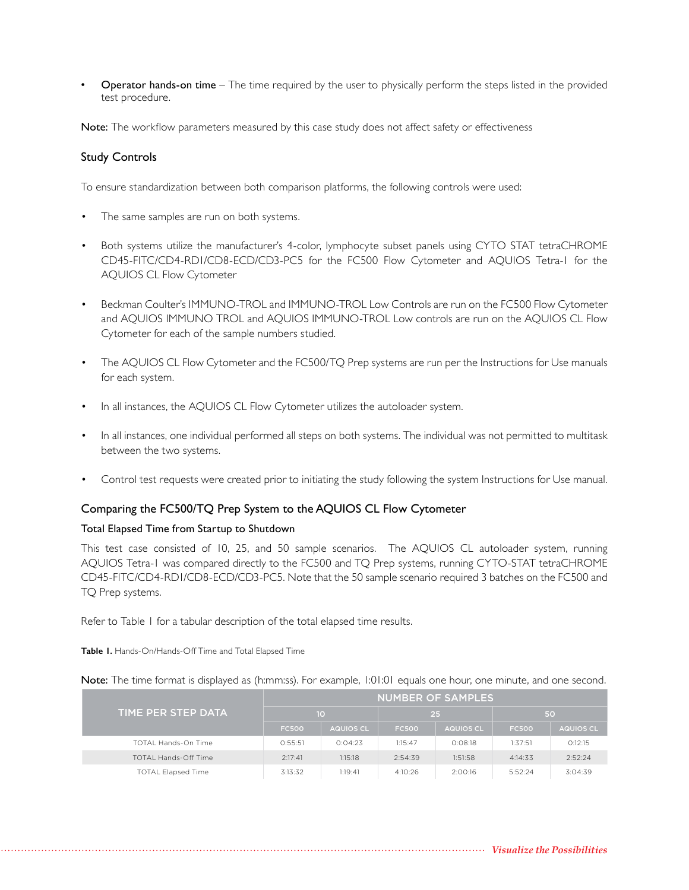• Operator hands-on time – The time required by the user to physically perform the steps listed in the provided test procedure.

Note: The workflow parameters measured by this case study does not affect safety or effectiveness

#### Study Controls

To ensure standardization between both comparison platforms, the following controls were used:

- The same samples are run on both systems.
- Both systems utilize the manufacturer's 4-color, lymphocyte subset panels using CYTO STAT tetraCHROME CD45-FITC/CD4-RD1/CD8-ECD/CD3-PC5 for the FC500 Flow Cytometer and AQUIOS Tetra-1 for the AQUIOS CL Flow Cytometer
- Beckman Coulter's IMMUNO-TROL and IMMUNO-TROL Low Controls are run on the FC500 Flow Cytometer and AQUIOS IMMUNO TROL and AQUIOS IMMUNO-TROL Low controls are run on the AQUIOS CL Flow Cytometer for each of the sample numbers studied.
- The AQUIOS CL Flow Cytometer and the FC500/TQ Prep systems are run per the Instructions for Use manuals for each system.
- In all instances, the AQUIOS CL Flow Cytometer utilizes the autoloader system.
- In all instances, one individual performed all steps on both systems. The individual was not permitted to multitask between the two systems.
- Control test requests were created prior to initiating the study following the system Instructions for Use manual.

#### Comparing the FC500/TQ Prep System to the AQUIOS CL Flow Cytometer

#### Total Elapsed Time from Startup to Shutdown

This test case consisted of 10, 25, and 50 sample scenarios. The AQUIOS CL autoloader system, running AQUIOS Tetra-1 was compared directly to the FC500 and TQ Prep systems, running CYTO-STAT tetraCHROME CD45-FITC/CD4-RD1/CD8-ECD/CD3-PC5. Note that the 50 sample scenario required 3 batches on the FC500 and TQ Prep systems.

Refer to Table 1 for a tabular description of the total elapsed time results.

**Table 1.** Hands-On/Hands-Off Time and Total Elapsed Time

Note: The time format is displayed as (h:mm:ss). For example, 1:01:01 equals one hour, one minute, and one second.

| TIME PER STEP DATA          | <b>NUMBER OF SAMPLES</b> |                  |              |                  |              |           |  |
|-----------------------------|--------------------------|------------------|--------------|------------------|--------------|-----------|--|
|                             | 10                       |                  | 25           |                  | 50           |           |  |
|                             | <b>FC500</b>             | <b>AQUIOS CL</b> | <b>FC500</b> | <b>AQUIOS CL</b> | <b>FC500</b> | AQUIOS CL |  |
| TOTAL Hands-On Time         | 0:55:51                  | 0:04:23          | 1:15:47      | 0:08:18          | 1:37:51      | O:12:15   |  |
| <b>TOTAL Hands-Off Time</b> | 2:17:41                  | 1:15:18          | 2:54:39      | 1:51:58          | 4:14:33      | 2:52:24   |  |
| <b>TOTAL Elapsed Time</b>   | 3:13:32                  | 1:19:41          | 4:10:26      | 2:00:16          | 5:52:24      | 3:04:39   |  |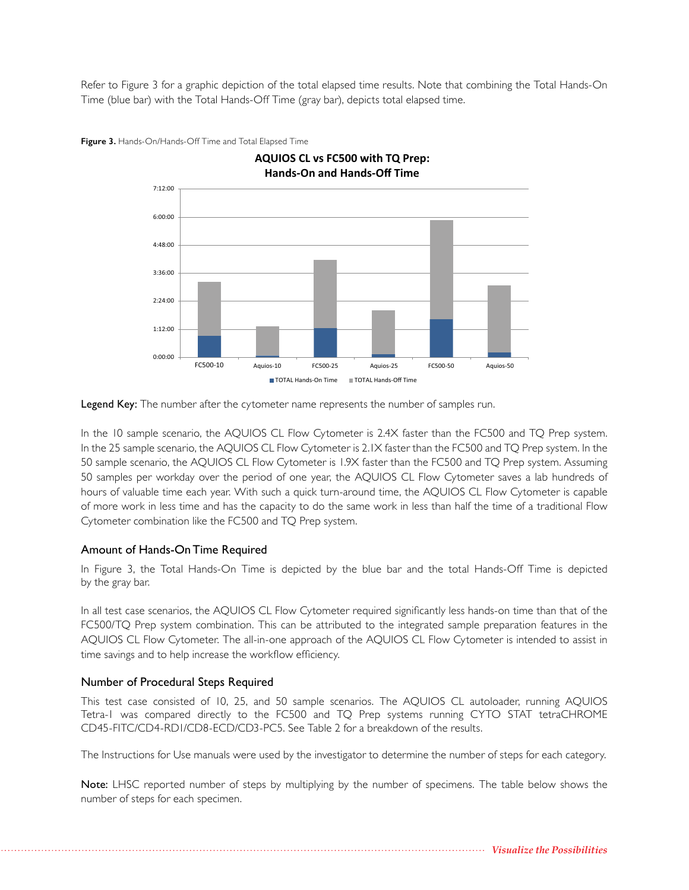Refer to Figure 3 for a graphic depiction of the total elapsed time results. Note that combining the Total Hands-On Time (blue bar) with the Total Hands-Off Time (gray bar), depicts total elapsed time.



**Figure 3.** Hands-On/Hands-Off Time and Total Elapsed Time



In the 10 sample scenario, the AQUIOS CL Flow Cytometer is 2.4X faster than the FC500 and TQ Prep system. In the 25 sample scenario, the AQUIOS CL Flow Cytometer is 2.1X faster than the FC500 and TQ Prep system. In the 50 sample scenario, the AQUIOS CL Flow Cytometer is 1.9X faster than the FC500 and TQ Prep system. Assuming 50 samples per workday over the period of one year, the AQUIOS CL Flow Cytometer saves a lab hundreds of hours of valuable time each year. With such a quick turn-around time, the AQUIOS CL Flow Cytometer is capable of more work in less time and has the capacity to do the same work in less than half the time of a traditional Flow Cytometer combination like the FC500 and TQ Prep system.

#### Amount of Hands-On Time Required

In Figure 3, the Total Hands-On Time is depicted by the blue bar and the total Hands-Off Time is depicted by the gray bar.

In all test case scenarios, the AQUIOS CL Flow Cytometer required significantly less hands-on time than that of the FC500/TQ Prep system combination. This can be attributed to the integrated sample preparation features in the AQUIOS CL Flow Cytometer. The all-in-one approach of the AQUIOS CL Flow Cytometer is intended to assist in time savings and to help increase the workflow efficiency.

#### Number of Procedural Steps Required

This test case consisted of 10, 25, and 50 sample scenarios. The AQUIOS CL autoloader, running AQUIOS Tetra-1 was compared directly to the FC500 and TQ Prep systems running CYTO STAT tetraCHROME CD45-FITC/CD4-RD1/CD8-ECD/CD3-PC5. See Table 2 for a breakdown of the results.

The Instructions for Use manuals were used by the investigator to determine the number of steps for each category.

Note: LHSC reported number of steps by multiplying by the number of specimens. The table below shows the number of steps for each specimen.

*Visualize the Possibilities*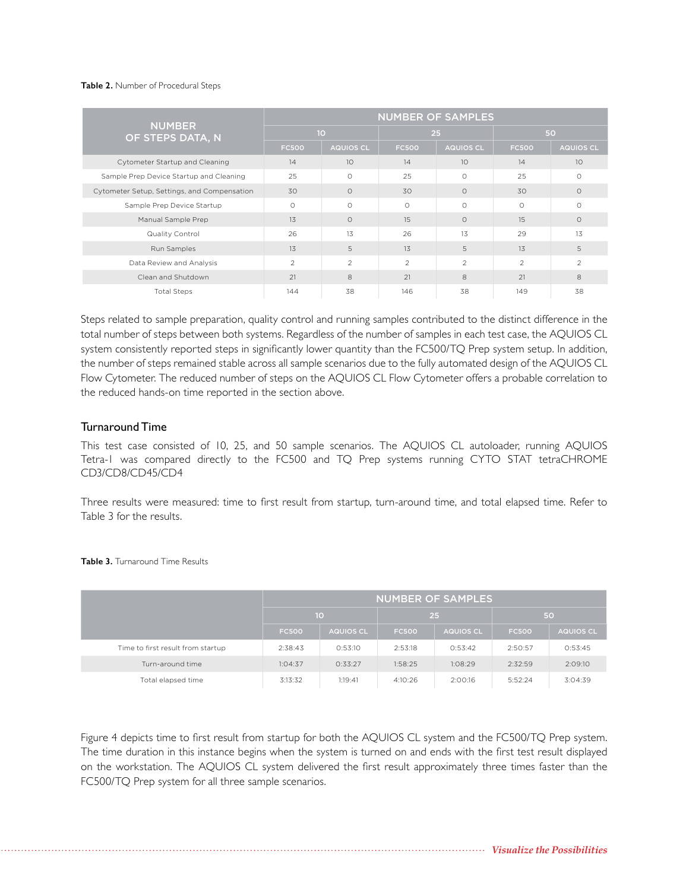#### **Table 2.** Number of Procedural Steps

| <b>NUMBER</b><br>OF STEPS DATA, N           | <b>NUMBER OF SAMPLES</b> |                  |                |                  |                |                  |  |
|---------------------------------------------|--------------------------|------------------|----------------|------------------|----------------|------------------|--|
|                                             | 10                       |                  | 25             |                  | 50             |                  |  |
|                                             | <b>FC500</b>             | <b>AQUIOS CL</b> | <b>FC500</b>   | <b>AQUIOS CL</b> | <b>FC500</b>   | <b>AQUIOS CL</b> |  |
| Cytometer Startup and Cleaning              | 14                       | 10               | 14             | 10               | 14             | 10               |  |
| Sample Prep Device Startup and Cleaning     | 25                       | $\circ$          | 25             | $\circ$          | 25             | $\circ$          |  |
| Cytometer Setup, Settings, and Compensation | 30                       | $\Omega$         | 30             | $\Omega$         | 30             | $\Omega$         |  |
| Sample Prep Device Startup                  | $\circ$                  | $\circ$          | $\circ$        | $\circ$          | $\circ$        | $\circ$          |  |
| Manual Sample Prep                          | 13                       | $\Omega$         | 15             | $\Omega$         | 15             | $\circ$          |  |
| Quality Control                             | 26                       | 13               | 26             | 13               | 29             | 13               |  |
| Run Samples                                 | 13                       | 5                | 13             | 5                | 13             | 5                |  |
| Data Review and Analysis                    | 2                        | $\overline{2}$   | $\overline{c}$ | $\overline{2}$   | $\overline{2}$ | $\overline{2}$   |  |
| Clean and Shutdown                          | 21                       | 8                | 21             | 8                | 21             | 8                |  |
| <b>Total Steps</b>                          | 144                      | 38               | 146            | 38               | 149            | 38               |  |

Steps related to sample preparation, quality control and running samples contributed to the distinct difference in the total number of steps between both systems. Regardless of the number of samples in each test case, the AQUIOS CL system consistently reported steps in significantly lower quantity than the FC500/TQ Prep system setup. In addition, the number of steps remained stable across all sample scenarios due to the fully automated design of the AQUIOS CL Flow Cytometer. The reduced number of steps on the AQUIOS CL Flow Cytometer offers a probable correlation to the reduced hands-on time reported in the section above.

#### Turnaround Time

This test case consisted of 10, 25, and 50 sample scenarios. The AQUIOS CL autoloader, running AQUIOS Tetra-1 was compared directly to the FC500 and TQ Prep systems running CYTO STAT tetraCHROME CD3/CD8/CD45/CD4

Three results were measured: time to first result from startup, turn-around time, and total elapsed time. Refer to Table 3 for the results.

|                                   | NUMBER OF SAMPLES |                  |              |                  |              |           |  |
|-----------------------------------|-------------------|------------------|--------------|------------------|--------------|-----------|--|
|                                   | 10                |                  | 25           |                  | 50           |           |  |
|                                   | <b>FC500</b>      | <b>AQUIOS CL</b> | <b>FC500</b> | <b>AQUIOS CL</b> | <b>FC500</b> | AQUIOS CL |  |
| Time to first result from startup | 2:38:43           | 0:53:10          | 2:53:18      | 0:53:42          | 2:50:57      | 0:53:45   |  |
| Turn-around time                  | 1:04:37           | 0:33:27          | 1:58:25      | 1:08:29          | 2:32:59      | 2:09:10   |  |
| Total elapsed time                | 3:13:32           | 1:19:41          | 4:10:26      | 2:00:16          | 5:52:24      | 3:04:39   |  |

**Table 3.** Turnaround Time Results

Figure 4 depicts time to first result from startup for both the AQUIOS CL system and the FC500/TQ Prep system. The time duration in this instance begins when the system is turned on and ends with the first test result displayed on the workstation. The AQUIOS CL system delivered the first result approximately three times faster than the FC500/TQ Prep system for all three sample scenarios.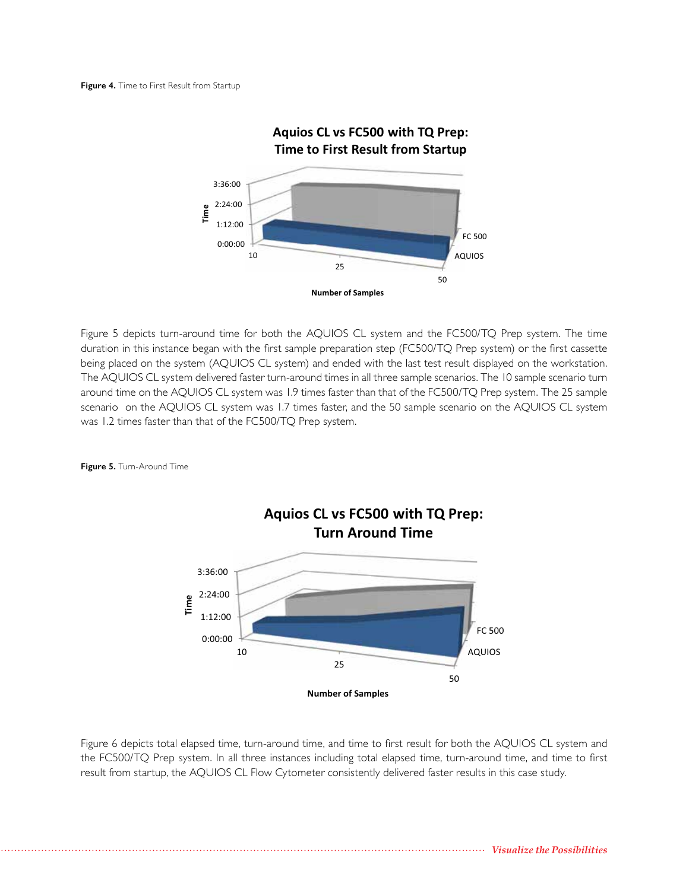

Figure 5 depicts turn-around time for both the AQUIOS CL system and the FC500/TQ Prep system. The time duration in this instance began with the first sample preparation step (FC500/TQ Prep system) or the first cassette being placed on the system (AQUIOS CL system) and ended with the last test result displayed on the workstation. The AQUIOS CL system delivered faster turn-around times in all three sample scenarios. The 10 sample scenario turn around time on the AQUIOS CL system was 1.9 times faster than that of the FC500/TQ Prep system. The 25 sample scenario on the AQUIOS CL system was 1.7 times faster, and the 50 sample scenario on the AQUIOS CL system was 1.2 times faster than that of the FC500/TQ Prep system.

**Figure 5.** Turn-Around Time



Figure 6 depicts total elapsed time, turn-around time, and time to first result for both the AQUIOS CL system and the FC500/TQ Prep system. In all three instances including total elapsed time, turn-around time, and time to first result from startup, the AQUIOS CL Flow Cytometer consistently delivered faster results in this case study.